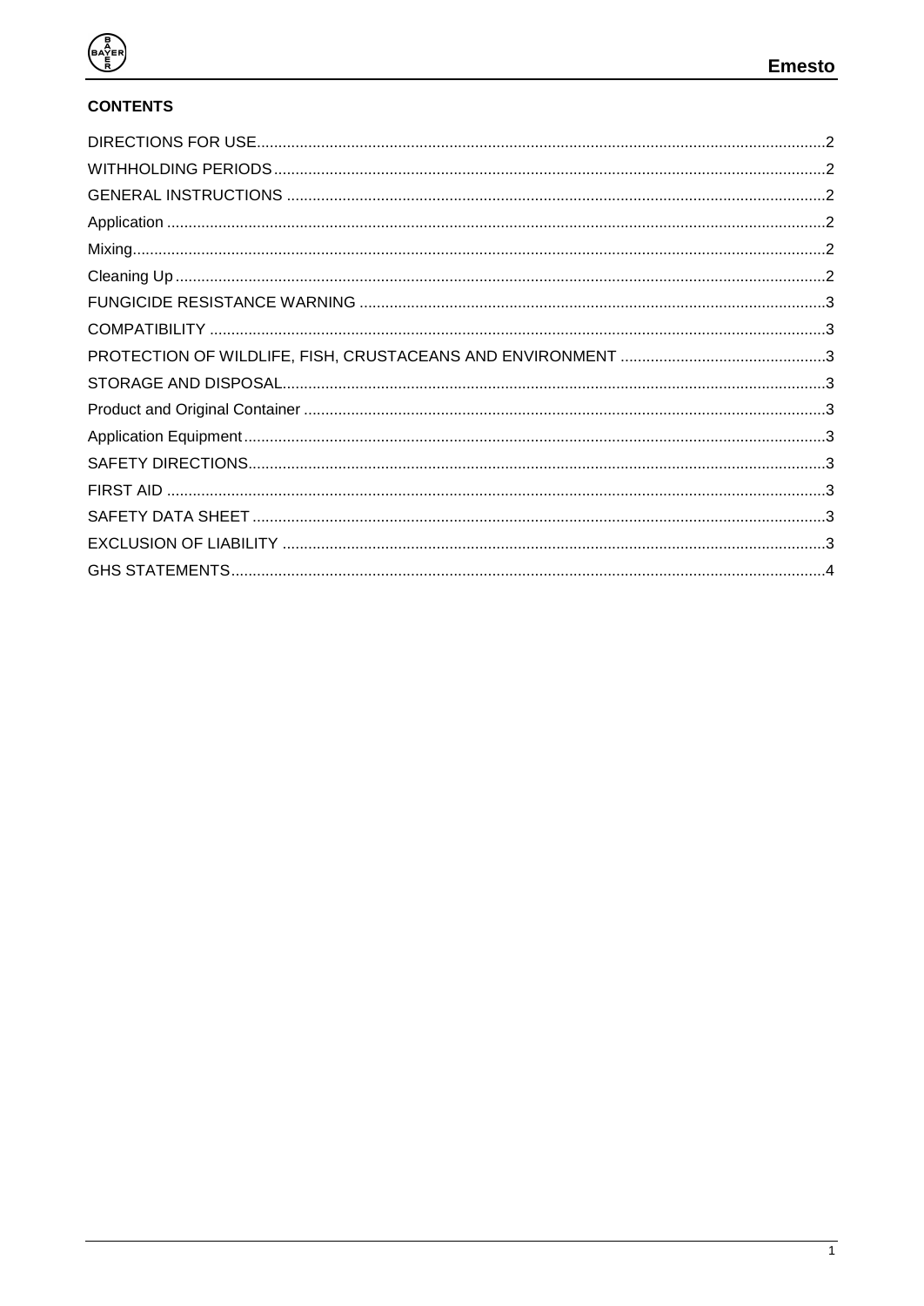

# **CONTENTS**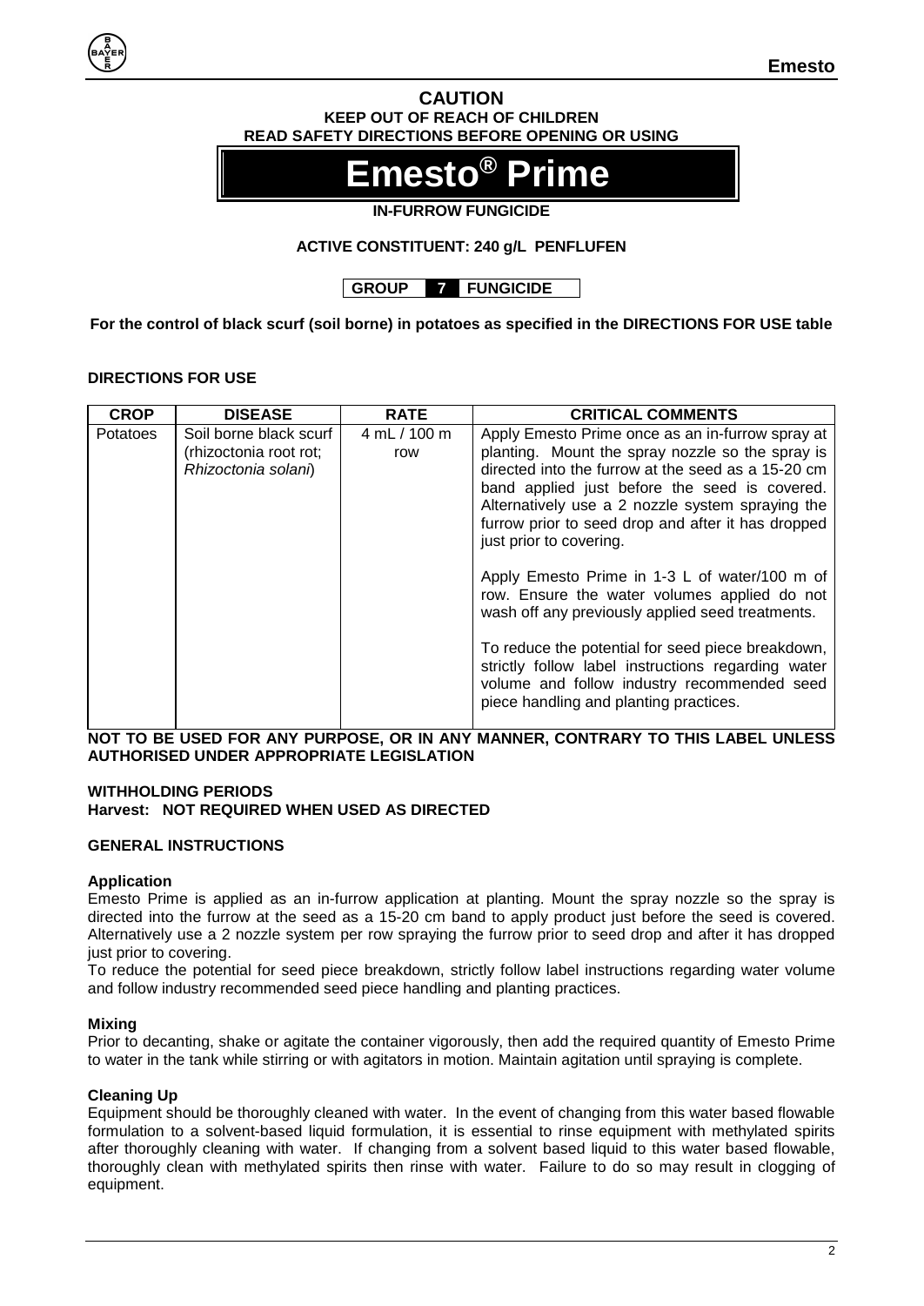#### **CAUTION KEEP OUT OF REACH OF CHILDREN READ SAFETY DIRECTIONS BEFORE OPENING OR USING**

# **Emesto® Prime**

# **IN-FURROW FUNGICIDE**

# **ACTIVE CONSTITUENT: 240 g/L PENFLUFEN**

**GROUP 7 FUNGICIDE**

**For the control of black scurf (soil borne) in potatoes as specified in the DIRECTIONS FOR USE table**

# <span id="page-1-0"></span>**DIRECTIONS FOR USE**

| <b>CROP</b>     | <b>DISEASE</b>                                                          | <b>RATE</b>         | <b>CRITICAL COMMENTS</b>                                                                                                                                                                                                                                                                                                                                                                                                                                                                                                                                                                                                                                                                                  |
|-----------------|-------------------------------------------------------------------------|---------------------|-----------------------------------------------------------------------------------------------------------------------------------------------------------------------------------------------------------------------------------------------------------------------------------------------------------------------------------------------------------------------------------------------------------------------------------------------------------------------------------------------------------------------------------------------------------------------------------------------------------------------------------------------------------------------------------------------------------|
| <b>Potatoes</b> | Soil borne black scurf<br>(rhizoctonia root rot;<br>Rhizoctonia solani) | 4 mL / 100 m<br>row | Apply Emesto Prime once as an in-furrow spray at<br>planting. Mount the spray nozzle so the spray is<br>directed into the furrow at the seed as a 15-20 cm<br>band applied just before the seed is covered.<br>Alternatively use a 2 nozzle system spraying the<br>furrow prior to seed drop and after it has dropped<br>just prior to covering.<br>Apply Emesto Prime in 1-3 L of water/100 m of<br>row. Ensure the water volumes applied do not<br>wash off any previously applied seed treatments.<br>To reduce the potential for seed piece breakdown,<br>strictly follow label instructions regarding water<br>volume and follow industry recommended seed<br>piece handling and planting practices. |
|                 |                                                                         |                     |                                                                                                                                                                                                                                                                                                                                                                                                                                                                                                                                                                                                                                                                                                           |

**NOT TO BE USED FOR ANY PURPOSE, OR IN ANY MANNER, CONTRARY TO THIS LABEL UNLESS AUTHORISED UNDER APPROPRIATE LEGISLATION**

#### <span id="page-1-1"></span>**WITHHOLDING PERIODS Harvest: NOT REQUIRED WHEN USED AS DIRECTED**

## <span id="page-1-2"></span>**GENERAL INSTRUCTIONS**

## <span id="page-1-3"></span>**Application**

Emesto Prime is applied as an in-furrow application at planting. Mount the spray nozzle so the spray is directed into the furrow at the seed as a 15-20 cm band to apply product just before the seed is covered. Alternatively use a 2 nozzle system per row spraying the furrow prior to seed drop and after it has dropped just prior to covering.

To reduce the potential for seed piece breakdown, strictly follow label instructions regarding water volume and follow industry recommended seed piece handling and planting practices.

#### <span id="page-1-4"></span>**Mixing**

Prior to decanting, shake or agitate the container vigorously, then add the required quantity of Emesto Prime to water in the tank while stirring or with agitators in motion. Maintain agitation until spraying is complete.

#### <span id="page-1-5"></span>**Cleaning Up**

Equipment should be thoroughly cleaned with water. In the event of changing from this water based flowable formulation to a solvent-based liquid formulation, it is essential to rinse equipment with methylated spirits after thoroughly cleaning with water. If changing from a solvent based liquid to this water based flowable, thoroughly clean with methylated spirits then rinse with water. Failure to do so may result in clogging of equipment.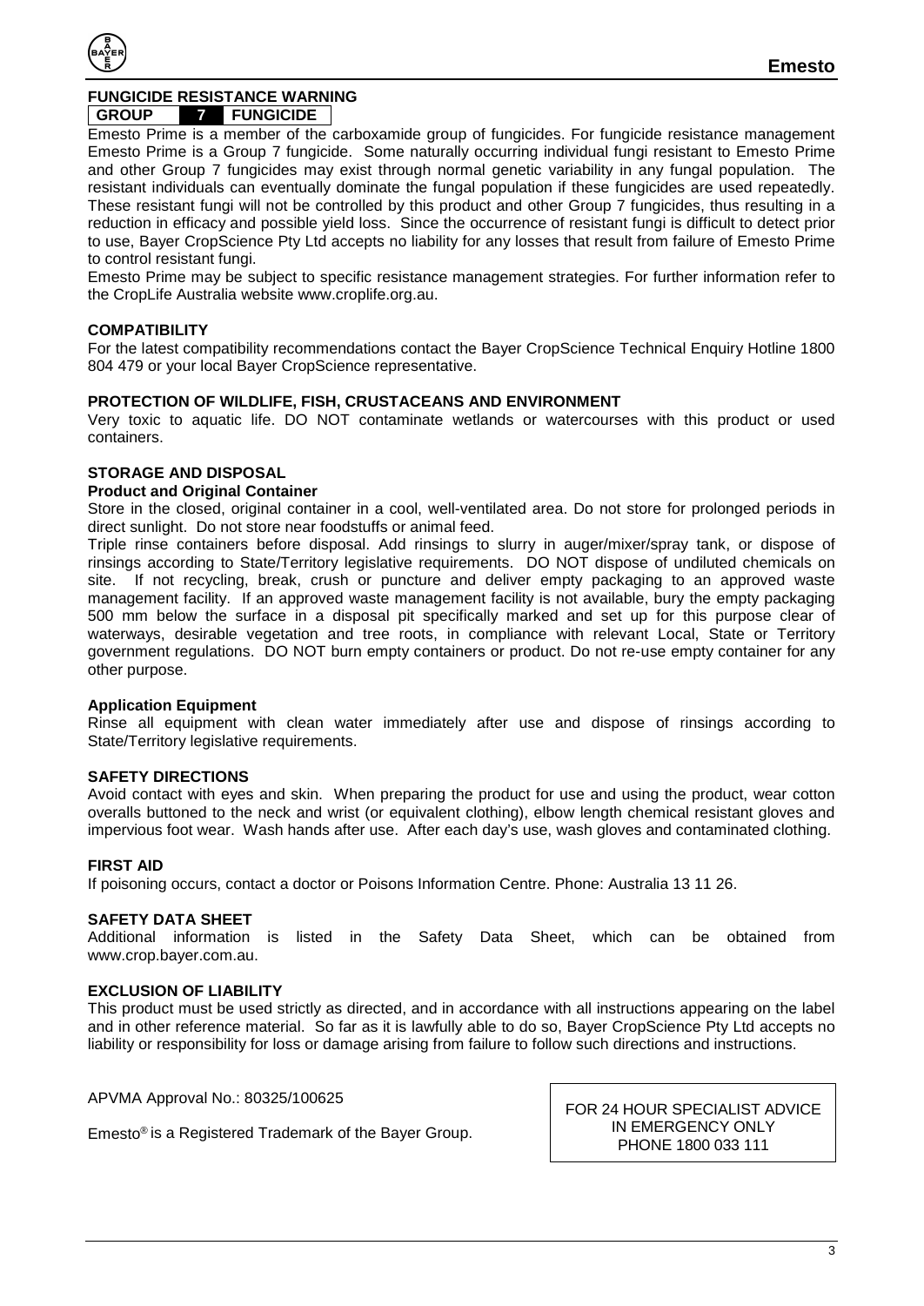

## <span id="page-2-0"></span>**FUNGICIDE RESISTANCE WARNING**

#### **GROUP 7 FUNGICIDE**

Emesto Prime is a member of the carboxamide group of fungicides. For fungicide resistance management Emesto Prime is a Group 7 fungicide. Some naturally occurring individual fungi resistant to Emesto Prime and other Group 7 fungicides may exist through normal genetic variability in any fungal population. The resistant individuals can eventually dominate the fungal population if these fungicides are used repeatedly. These resistant fungi will not be controlled by this product and other Group 7 fungicides, thus resulting in a reduction in efficacy and possible yield loss. Since the occurrence of resistant fungi is difficult to detect prior to use, Bayer CropScience Pty Ltd accepts no liability for any losses that result from failure of Emesto Prime to control resistant fungi.

Emesto Prime may be subject to specific resistance management strategies. For further information refer to the CropLife Australia website www.croplife.org.au.

#### <span id="page-2-1"></span>**COMPATIBILITY**

For the latest compatibility recommendations contact the Bayer CropScience Technical Enquiry Hotline 1800 804 479 or your local Bayer CropScience representative.

#### <span id="page-2-2"></span>**PROTECTION OF WILDLIFE, FISH, CRUSTACEANS AND ENVIRONMENT**

Very toxic to aquatic life. DO NOT contaminate wetlands or watercourses with this product or used containers.

#### <span id="page-2-3"></span>**STORAGE AND DISPOSAL**

#### <span id="page-2-4"></span>**Product and Original Container**

Store in the closed, original container in a cool, well-ventilated area. Do not store for prolonged periods in direct sunlight. Do not store near foodstuffs or animal feed.

Triple rinse containers before disposal. Add rinsings to slurry in auger/mixer/spray tank, or dispose of rinsings according to State/Territory legislative requirements. DO NOT dispose of undiluted chemicals on site. If not recycling, break, crush or puncture and deliver empty packaging to an approved waste management facility. If an approved waste management facility is not available, bury the empty packaging 500 mm below the surface in a disposal pit specifically marked and set up for this purpose clear of waterways, desirable vegetation and tree roots, in compliance with relevant Local, State or Territory government regulations. DO NOT burn empty containers or product. Do not re-use empty container for any other purpose.

#### <span id="page-2-5"></span>**Application Equipment**

Rinse all equipment with clean water immediately after use and dispose of rinsings according to State/Territory legislative requirements.

#### <span id="page-2-6"></span>**SAFETY DIRECTIONS**

Avoid contact with eyes and skin. When preparing the product for use and using the product, wear cotton overalls buttoned to the neck and wrist (or equivalent clothing), elbow length chemical resistant gloves and impervious foot wear. Wash hands after use. After each day's use, wash gloves and contaminated clothing.

#### <span id="page-2-7"></span>**FIRST AID**

If poisoning occurs, contact a doctor or Poisons Information Centre. Phone: Australia 13 11 26.

<span id="page-2-8"></span>**SAFETY DATA SHEET**<br>Additional information is listed in the Safety Data Sheet, which can be obtained from www.crop.bayer.com.au.

#### <span id="page-2-9"></span>**EXCLUSION OF LIABILITY**

This product must be used strictly as directed, and in accordance with all instructions appearing on the label and in other reference material. So far as it is lawfully able to do so, Bayer CropScience Pty Ltd accepts no liability or responsibility for loss or damage arising from failure to follow such directions and instructions.

APVMA Approval No.: 80325/100625

Emesto® is a Registered Trademark of the Bayer Group.

FOR 24 HOUR SPECIALIST ADVICE IN EMERGENCY ONLY PHONE 1800 033 111